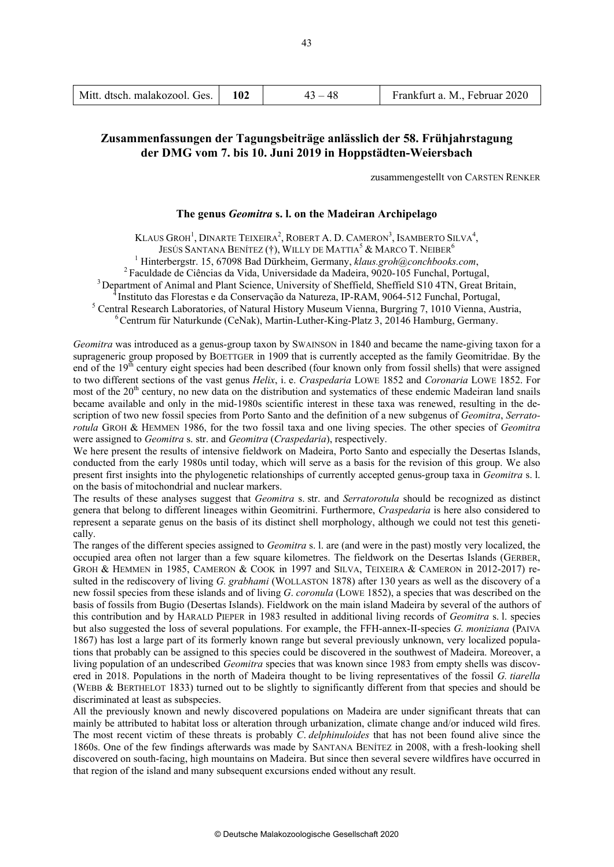| Mitt. dtsch. malakozool. Ges. |  | $43 - 48$ | Frankfurt a. M., Februar 2020 |
|-------------------------------|--|-----------|-------------------------------|
|-------------------------------|--|-----------|-------------------------------|

# **Zusammenfassungen der Tagungsbeiträge anlässlich der 58. Frühjahrstagung der DMG vom 7. bis 10. Juni 2019 in Hoppstädten-Weiersbach**

zusammengestellt von CARSTEN RENKER

## **The genus** *Geomitra* **s. l. on the Madeiran Archipelago**

KLAUS GROH<sup>1</sup>, DINARTE TEIXEIRA<sup>2</sup>, ROBERT A. D. CAMERON<sup>3</sup>, ISAMBERTO SILVA<sup>4</sup>,

JESÚS SANTANA BENÍTEZ (†), WILLY DE MATTIA<sup>5</sup> & MARCO T. NEIBER<sup>6</sup>

<sup>1</sup> Hinterbergstr. 15, 67098 Bad Dürkheim, Germany, klaus.groh@conchbooks.com,

<sup>2</sup> Faculdade de Ciências da Vida, Universidade da Madeira, 9020-105 Funchal, Portugal,<br><sup>3</sup> Department of Animal and Plant Science, University of Sheffield, Sheffield S10 4TN, Great Britain,

<sup>4</sup> Instituto das Florestas e da Conservação da Natureza, IP-RAM, 9064-512 Funchal, Portugal,<br><sup>5</sup> Central Research Laboratories, of Natural History Museum Vienna, Burgring 7, 1010 Vienna, Austria,<br><sup>6</sup> Centrum für Naturkund

*Geomitra* was introduced as a genus-group taxon by SWAINSON in 1840 and became the name-giving taxon for a suprageneric group proposed by BOETTGER in 1909 that is currently accepted as the family Geomitridae. By the end of the  $19<sup>th</sup>$  century eight species had been described (four known only from fossil shells) that were assigned to two different sections of the vast genus *Helix*, i. e. *Craspedaria* LOWE 1852 and *Coronaria* LOWE 1852. For most of the  $20<sup>th</sup>$  century, no new data on the distribution and systematics of these endemic Madeiran land snails became available and only in the mid-1980s scientific interest in these taxa was renewed, resulting in the description of two new fossil species from Porto Santo and the definition of a new subgenus of *Geomitra*, *Serratorotula* GROH & HEMMEN 1986, for the two fossil taxa and one living species. The other species of *Geomitra* were assigned to *Geomitra* s. str. and *Geomitra* (*Craspedaria*), respectively.

We here present the results of intensive fieldwork on Madeira, Porto Santo and especially the Desertas Islands, conducted from the early 1980s until today, which will serve as a basis for the revision of this group. We also present first insights into the phylogenetic relationships of currently accepted genus-group taxa in *Geomitra* s. l. on the basis of mitochondrial and nuclear markers.

The results of these analyses suggest that *Geomitra* s. str. and *Serratorotula* should be recognized as distinct genera that belong to different lineages within Geomitrini. Furthermore, *Craspedaria* is here also considered to represent a separate genus on the basis of its distinct shell morphology, although we could not test this genetically.

The ranges of the different species assigned to *Geomitra* s. l. are (and were in the past) mostly very localized, the occupied area often not larger than a few square kilometres. The fieldwork on the Desertas Islands (GERBER, GROH & HEMMEN in 1985, CAMERON & COOK in 1997 and SILVA, TEIXEIRA & CAMERON in 2012-2017) resulted in the rediscovery of living *G. grabhami* (WOLLASTON 1878) after 130 years as well as the discovery of a new fossil species from these islands and of living *G*. *coronula* (LOWE 1852), a species that was described on the basis of fossils from Bugio (Desertas Islands). Fieldwork on the main island Madeira by several of the authors of this contribution and by HARALD PIEPER in 1983 resulted in additional living records of *Geomitra* s. l. species but also suggested the loss of several populations. For example, the FFH-annex-II-species *G. moniziana* (PAIVA 1867) has lost a large part of its formerly known range but several previously unknown, very localized populations that probably can be assigned to this species could be discovered in the southwest of Madeira. Moreover, a living population of an undescribed *Geomitra* species that was known since 1983 from empty shells was discovered in 2018. Populations in the north of Madeira thought to be living representatives of the fossil *G. tiarella* (WEBB & BERTHELOT 1833) turned out to be slightly to significantly different from that species and should be discriminated at least as subspecies.

All the previously known and newly discovered populations on Madeira are under significant threats that can mainly be attributed to habitat loss or alteration through urbanization, climate change and/or induced wild fires. The most recent victim of these threats is probably *C*. *delphinuloides* that has not been found alive since the 1860s. One of the few findings afterwards was made by SANTANA BENÍTEZ in 2008, with a fresh-looking shell discovered on south-facing, high mountains on Madeira. But since then several severe wildfires have occurred in that region of the island and many subsequent excursions ended without any result.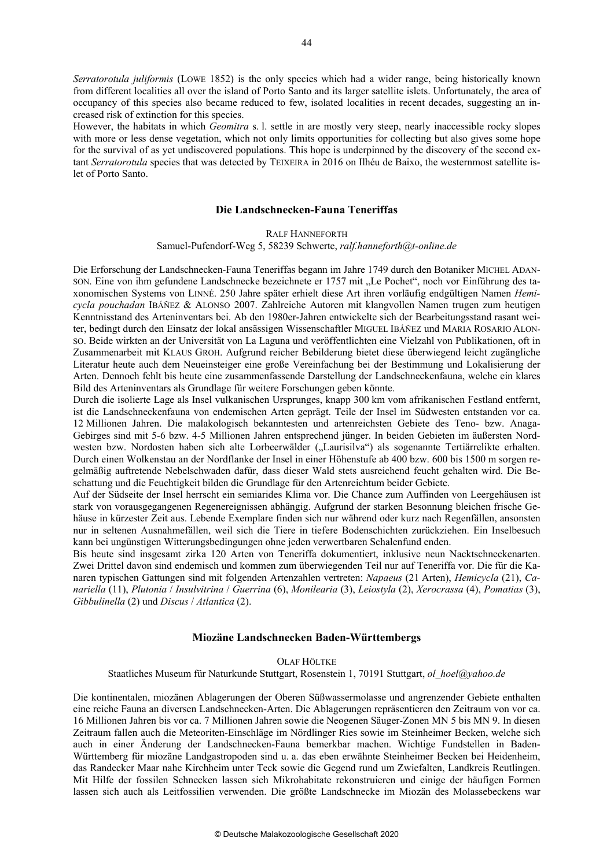*Serratorotula juliformis* (LOWE 1852) is the only species which had a wider range, being historically known from different localities all over the island of Porto Santo and its larger satellite islets. Unfortunately, the area of occupancy of this species also became reduced to few, isolated localities in recent decades, suggesting an increased risk of extinction for this species.

However, the habitats in which *Geomitra* s. l. settle in are mostly very steep, nearly inaccessible rocky slopes with more or less dense vegetation, which not only limits opportunities for collecting but also gives some hope for the survival of as yet undiscovered populations. This hope is underpinned by the discovery of the second extant *Serratorotula* species that was detected by TEIXEIRA in 2016 on Ilhéu de Baixo, the westernmost satellite islet of Porto Santo.

### **Die Landschnecken-Fauna Teneriffas**

RALF HANNEFORTH

#### Samuel-Pufendorf-Weg 5, 58239 Schwerte, *ralf.hanneforth@t-online.de*

Die Erforschung der Landschnecken-Fauna Teneriffas begann im Jahre 1749 durch den Botaniker MICHEL ADANson. Eine von ihm gefundene Landschnecke bezeichnete er 1757 mit "Le Pochet", noch vor Einführung des taxonomischen Systems von LINNÉ. 250 Jahre später erhielt diese Art ihren vorläufig endgültigen Namen *Hemicycla pouchadan* IBÁÑEZ & ALONSO 2007. Zahlreiche Autoren mit klangvollen Namen trugen zum heutigen Kenntnisstand des Arteninventars bei. Ab den 1980er-Jahren entwickelte sich der Bearbeitungsstand rasant weiter, bedingt durch den Einsatz der lokal ansässigen Wissenschaftler MIGUEL IBÁÑEZ und MARIA ROSARIO ALON-SO. Beide wirkten an der Universität von La Laguna und veröffentlichten eine Vielzahl von Publikationen, oft in Zusammenarbeit mit KLAUS GROH. Aufgrund reicher Bebilderung bietet diese überwiegend leicht zugängliche Literatur heute auch dem Neueinsteiger eine große Vereinfachung bei der Bestimmung und Lokalisierung der Arten. Dennoch fehlt bis heute eine zusammenfassende Darstellung der Landschneckenfauna, welche ein klares Bild des Arteninventars als Grundlage für weitere Forschungen geben könnte.

Durch die isolierte Lage als Insel vulkanischen Ursprunges, knapp 300 km vom afrikanischen Festland entfernt, ist die Landschneckenfauna von endemischen Arten geprägt. Teile der Insel im Südwesten entstanden vor ca. 12 Millionen Jahren. Die malakologisch bekanntesten und artenreichsten Gebiete des Teno- bzw. Anaga-Gebirges sind mit 5-6 bzw. 4-5 Millionen Jahren entsprechend jünger. In beiden Gebieten im äußersten Nordwesten bzw. Nordosten haben sich alte Lorbeerwälder ("Laurisilva") als sogenannte Tertiärrelikte erhalten. Durch einen Wolkenstau an der Nordflanke der Insel in einer Höhenstufe ab 400 bzw. 600 bis 1500 m sorgen regelmäßig auftretende Nebelschwaden dafür, dass dieser Wald stets ausreichend feucht gehalten wird. Die Beschattung und die Feuchtigkeit bilden die Grundlage für den Artenreichtum beider Gebiete.

Auf der Südseite der Insel herrscht ein semiarides Klima vor. Die Chance zum Auffinden von Leergehäusen ist stark von vorausgegangenen Regenereignissen abhängig. Aufgrund der starken Besonnung bleichen frische Gehäuse in kürzester Zeit aus. Lebende Exemplare finden sich nur während oder kurz nach Regenfällen, ansonsten nur in seltenen Ausnahmefällen, weil sich die Tiere in tiefere Bodenschichten zurückziehen. Ein Inselbesuch kann bei ungünstigen Witterungsbedingungen ohne jeden verwertbaren Schalenfund enden.

Bis heute sind insgesamt zirka 120 Arten von Teneriffa dokumentiert, inklusive neun Nacktschneckenarten. Zwei Drittel davon sind endemisch und kommen zum überwiegenden Teil nur auf Teneriffa vor. Die für die Kanaren typischen Gattungen sind mit folgenden Artenzahlen vertreten: *Napaeus* (21 Arten), *Hemicycla* (21), *Canariella* (11), *Plutonia* / *Insulvitrina* / *Guerrina* (6), *Monilearia* (3), *Leiostyla* (2), *Xerocrassa* (4), *Pomatias* (3), *Gibbulinella* (2) und *Discus* / *Atlantica* (2).

## **Miozäne Landschnecken Baden-Württembergs**

OLAF HÖLTKE

Staatliches Museum für Naturkunde Stuttgart, Rosenstein 1, 70191 Stuttgart, *ol\_hoel@yahoo.de*

Die kontinentalen, miozänen Ablagerungen der Oberen Süßwassermolasse und angrenzender Gebiete enthalten eine reiche Fauna an diversen Landschnecken-Arten. Die Ablagerungen repräsentieren den Zeitraum von vor ca. 16 Millionen Jahren bis vor ca. 7 Millionen Jahren sowie die Neogenen Säuger-Zonen MN 5 bis MN 9. In diesen Zeitraum fallen auch die Meteoriten-Einschläge im Nördlinger Ries sowie im Steinheimer Becken, welche sich auch in einer Änderung der Landschnecken-Fauna bemerkbar machen. Wichtige Fundstellen in Baden-Württemberg für miozäne Landgastropoden sind u. a. das eben erwähnte Steinheimer Becken bei Heidenheim, das Randecker Maar nahe Kirchheim unter Teck sowie die Gegend rund um Zwiefalten, Landkreis Reutlingen. Mit Hilfe der fossilen Schnecken lassen sich Mikrohabitate rekonstruieren und einige der häufigen Formen lassen sich auch als Leitfossilien verwenden. Die größte Landschnecke im Miozän des Molassebeckens war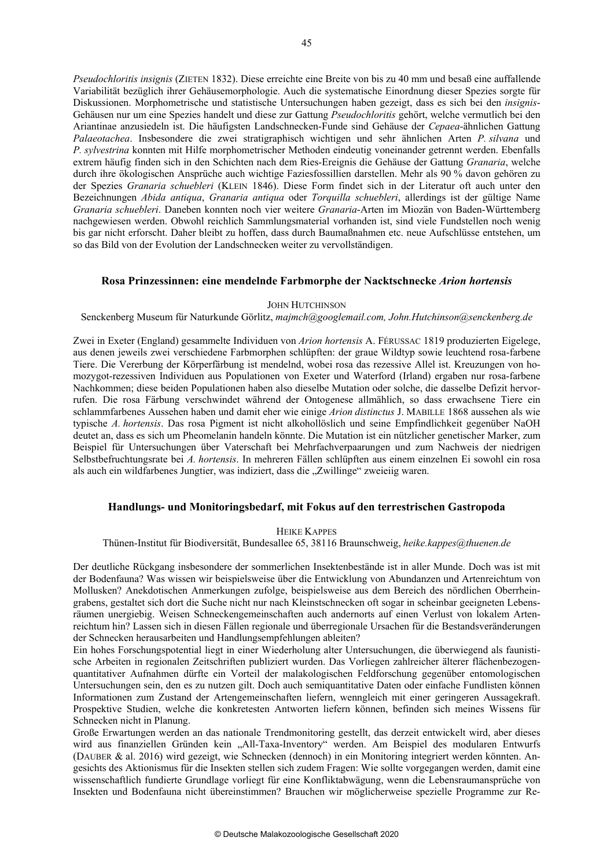*Pseudochloritis insignis* (ZIETEN 1832). Diese erreichte eine Breite von bis zu 40 mm und besaß eine auffallende Variabilität bezüglich ihrer Gehäusemorphologie. Auch die systematische Einordnung dieser Spezies sorgte für Diskussionen. Morphometrische und statistische Untersuchungen haben gezeigt, dass es sich bei den *insignis*-Gehäusen nur um eine Spezies handelt und diese zur Gattung *Pseudochloritis* gehört, welche vermutlich bei den Ariantinae anzusiedeln ist. Die häufigsten Landschnecken-Funde sind Gehäuse der *Cepaea*-ähnlichen Gattung *Palaeotachea*. Insbesondere die zwei stratigraphisch wichtigen und sehr ähnlichen Arten *P. silvana* und *P. sylvestrina* konnten mit Hilfe morphometrischer Methoden eindeutig voneinander getrennt werden. Ebenfalls extrem häufig finden sich in den Schichten nach dem Ries-Ereignis die Gehäuse der Gattung *Granaria*, welche durch ihre ökologischen Ansprüche auch wichtige Faziesfossillien darstellen. Mehr als 90 % davon gehören zu der Spezies *Granaria schuebleri* (KLEIN 1846). Diese Form findet sich in der Literatur oft auch unter den Bezeichnungen *Abida antiqua*, *Granaria antiqua* oder *Torquilla schuebleri*, allerdings ist der gültige Name *Granaria schuebleri*. Daneben konnten noch vier weitere *Granaria*-Arten im Miozän von Baden-Württemberg nachgewiesen werden. Obwohl reichlich Sammlungsmaterial vorhanden ist, sind viele Fundstellen noch wenig bis gar nicht erforscht. Daher bleibt zu hoffen, dass durch Baumaßnahmen etc. neue Aufschlüsse entstehen, um so das Bild von der Evolution der Landschnecken weiter zu vervollständigen.

## **Rosa Prinzessinnen: eine mendelnde Farbmorphe der Nacktschnecke** *Arion hortensis*

#### JOHN HUTCHINSON

#### Senckenberg Museum für Naturkunde Görlitz, *majmch@googlemail.com, John.Hutchinson@senckenberg.de*

Zwei in Exeter (England) gesammelte Individuen von *Arion hortensis* A. FÉRUSSAC 1819 produzierten Eigelege, aus denen jeweils zwei verschiedene Farbmorphen schlüpften: der graue Wildtyp sowie leuchtend rosa-farbene Tiere. Die Vererbung der Körperfärbung ist mendelnd, wobei rosa das rezessive Allel ist. Kreuzungen von homozygot-rezessiven Individuen aus Populationen von Exeter und Waterford (Irland) ergaben nur rosa-farbene Nachkommen; diese beiden Populationen haben also dieselbe Mutation oder solche, die dasselbe Defizit hervorrufen. Die rosa Färbung verschwindet während der Ontogenese allmählich, so dass erwachsene Tiere ein schlammfarbenes Aussehen haben und damit eher wie einige *Arion distinctus* J. MABILLE 1868 aussehen als wie typische *A. hortensis*. Das rosa Pigment ist nicht alkohollöslich und seine Empfindlichkeit gegenüber NaOH deutet an, dass es sich um Pheomelanin handeln könnte. Die Mutation ist ein nützlicher genetischer Marker, zum Beispiel für Untersuchungen über Vaterschaft bei Mehrfachverpaarungen und zum Nachweis der niedrigen Selbstbefruchtungsrate bei *A. hortensis*. In mehreren Fällen schlüpften aus einem einzelnen Ei sowohl ein rosa als auch ein wildfarbenes Jungtier, was indiziert, dass die "Zwillinge" zweieiig waren.

## **Handlungs- und Monitoringsbedarf, mit Fokus auf den terrestrischen Gastropoda**

## HEIKE KAPPES

#### Thünen-Institut für Biodiversität, Bundesallee 65, 38116 Braunschweig, *heike.kappes@thuenen.de*

Der deutliche Rückgang insbesondere der sommerlichen Insektenbestände ist in aller Munde. Doch was ist mit der Bodenfauna? Was wissen wir beispielsweise über die Entwicklung von Abundanzen und Artenreichtum von Mollusken? Anekdotischen Anmerkungen zufolge, beispielsweise aus dem Bereich des nördlichen Oberrheingrabens, gestaltet sich dort die Suche nicht nur nach Kleinstschnecken oft sogar in scheinbar geeigneten Lebensräumen unergiebig. Weisen Schneckengemeinschaften auch andernorts auf einen Verlust von lokalem Artenreichtum hin? Lassen sich in diesen Fällen regionale und überregionale Ursachen für die Bestandsveränderungen der Schnecken herausarbeiten und Handlungsempfehlungen ableiten?

Ein hohes Forschungspotential liegt in einer Wiederholung alter Untersuchungen, die überwiegend als faunistische Arbeiten in regionalen Zeitschriften publiziert wurden. Das Vorliegen zahlreicher älterer flächenbezogenquantitativer Aufnahmen dürfte ein Vorteil der malakologischen Feldforschung gegenüber entomologischen Untersuchungen sein, den es zu nutzen gilt. Doch auch semiquantitative Daten oder einfache Fundlisten können Informationen zum Zustand der Artengemeinschaften liefern, wenngleich mit einer geringeren Aussagekraft. Prospektive Studien, welche die konkretesten Antworten liefern können, befinden sich meines Wissens für Schnecken nicht in Planung.

Große Erwartungen werden an das nationale Trendmonitoring gestellt, das derzeit entwickelt wird, aber dieses wird aus finanziellen Gründen kein "All-Taxa-Inventory" werden. Am Beispiel des modularen Entwurfs (DAUBER & al. 2016) wird gezeigt, wie Schnecken (dennoch) in ein Monitoring integriert werden könnten. Angesichts des Aktionismus für die Insekten stellen sich zudem Fragen: Wie sollte vorgegangen werden, damit eine wissenschaftlich fundierte Grundlage vorliegt für eine Konfliktabwägung, wenn die Lebensraumansprüche von Insekten und Bodenfauna nicht übereinstimmen? Brauchen wir möglicherweise spezielle Programme zur Re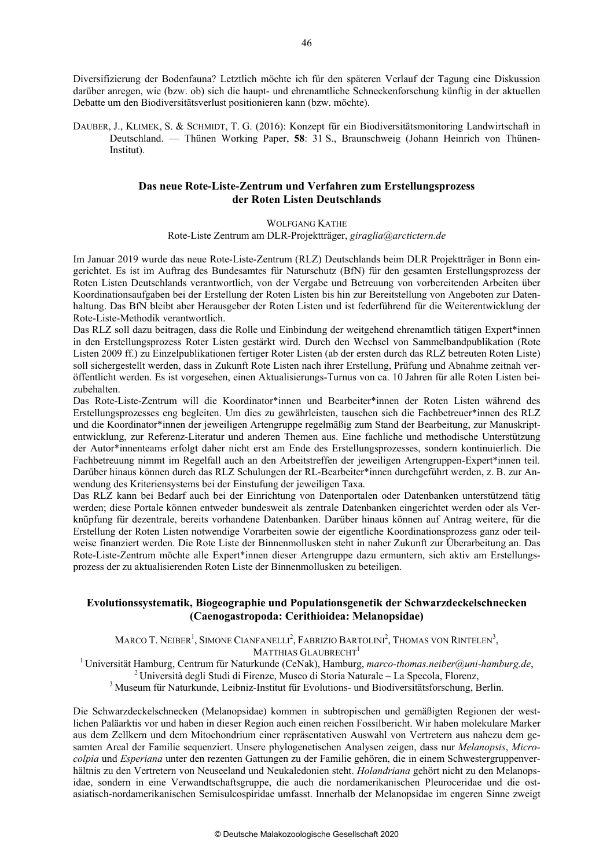Diversifizierung der Bodenfauna? Letztlich möchte ich für den späteren Verlauf der Tagung eine Diskussion darüber anregen, wie (bzw. ob) sich die haupt- und ehrenamtliche Schneckenforschung künftig in der aktuellen Debatte um den Biodiversitätsverlust positionieren kann (bzw. möchte).

DAUBER, J., KLIMEK, S. & SCHMIDT, T. G. (2016): Konzept für ein Biodiversitätsmonitoring Landwirtschaft in Deutschland. — Thünen Working Paper, **58**: 31 S., Braunschweig (Johann Heinrich von Thünen-Institut).

## **Das neue Rote-Liste-Zentrum und Verfahren zum Erstellungsprozess der Roten Listen Deutschlands**

WOLFGANG KATHE

Rote-Liste Zentrum am DLR-Projektträger, *giraglia@arctictern.de*

Im Januar 2019 wurde das neue Rote-Liste-Zentrum (RLZ) Deutschlands beim DLR Projektträger in Bonn eingerichtet. Es ist im Auftrag des Bundesamtes für Naturschutz (BfN) für den gesamten Erstellungsprozess der Roten Listen Deutschlands verantwortlich, von der Vergabe und Betreuung von vorbereitenden Arbeiten über Koordinationsaufgaben bei der Erstellung der Roten Listen bis hin zur Bereitstellung von Angeboten zur Datenhaltung. Das BfN bleibt aber Herausgeber der Roten Listen und ist federführend für die Weiterentwicklung der Rote-Liste-Methodik verantwortlich.

Das RLZ soll dazu beitragen, dass die Rolle und Einbindung der weitgehend ehrenamtlich tätigen Expert\*innen in den Erstellungsprozess Roter Listen gestärkt wird. Durch den Wechsel von Sammelbandpublikation (Rote Listen 2009 ff.) zu Einzelpublikationen fertiger Roter Listen (ab der ersten durch das RLZ betreuten Roten Liste) soll sichergestellt werden, dass in Zukunft Rote Listen nach ihrer Erstellung, Prüfung und Abnahme zeitnah veröffentlicht werden. Es ist vorgesehen, einen Aktualisierungs-Turnus von ca. 10 Jahren für alle Roten Listen beizubehalten.

Das Rote-Liste-Zentrum will die Koordinator\*innen und Bearbeiter\*innen der Roten Listen während des Erstellungsprozesses eng begleiten. Um dies zu gewährleisten, tauschen sich die Fachbetreuer\*innen des RLZ und die Koordinator\*innen der jeweiligen Artengruppe regelmäßig zum Stand der Bearbeitung, zur Manuskriptentwicklung, zur Referenz-Literatur und anderen Themen aus. Eine fachliche und methodische Unterstützung der Autor\*innenteams erfolgt daher nicht erst am Ende des Erstellungsprozesses, sondern kontinuierlich. Die Fachbetreuung nimmt im Regelfall auch an den Arbeitstreffen der jeweiligen Artengruppen-Expert\*innen teil. Darüber hinaus können durch das RLZ Schulungen der RL-Bearbeiter\*innen durchgeführt werden, z. B. zur Anwendung des Kriteriensystems bei der Einstufung der jeweiligen Taxa.

Das RLZ kann bei Bedarf auch bei der Einrichtung von Datenportalen oder Datenbanken unterstützend tätig werden; diese Portale können entweder bundesweit als zentrale Datenbanken eingerichtet werden oder als Verknüpfung für dezentrale, bereits vorhandene Datenbanken. Darüber hinaus können auf Antrag weitere, für die Erstellung der Roten Listen notwendige Vorarbeiten sowie der eigentliche Koordinationsprozess ganz oder teilweise finanziert werden. Die Rote Liste der Binnenmollusken steht in naher Zukunft zur Überarbeitung an. Das Rote-Liste-Zentrum möchte alle Expert\*innen dieser Artengruppe dazu ermuntern, sich aktiv am Erstellungsprozess der zu aktualisierenden Roten Liste der Binnenmollusken zu beteiligen.

## **Evolutionssystematik, Biogeographie und Populationsgenetik der Schwarzdeckelschnecken (Caenogastropoda: Cerithioidea: Melanopsidae)**

MARCO T. NEIBER<sup>1</sup>, SIMONE CIANFANELLI<sup>2</sup>, FABRIZIO BARTOLINI<sup>2</sup>, THOMAS VON RINTELEN<sup>3</sup>,

MATTHIAS GLAUBRECHT<sup>1</sup>

<sup>1</sup> Universität Hamburg, Centrum für Naturkunde (CeNak), Hamburg, *marco-thomas.neiber@uni-hamburg.de*,<br><sup>2</sup> Università degli Studi di Firenze, Museo di Storia Naturale – La Specola, Florenz,<br><sup>3</sup> Museum für Naturkunde, Lei

Die Schwarzdeckelschnecken (Melanopsidae) kommen in subtropischen und gemäßigten Regionen der westlichen Paläarktis vor und haben in dieser Region auch einen reichen Fossilbericht. Wir haben molekulare Marker aus dem Zellkern und dem Mitochondrium einer repräsentativen Auswahl von Vertretern aus nahezu dem gesamten Areal der Familie sequenziert. Unsere phylogenetischen Analysen zeigen, dass nur *Melanopsis*, *Microcolpia* und *Esperiana* unter den rezenten Gattungen zu der Familie gehören, die in einem Schwestergruppenverhältnis zu den Vertretern von Neuseeland und Neukaledonien steht. *Holandriana* gehört nicht zu den Melanopsidae, sondern in eine Verwandtschaftsgruppe, die auch die nordamerikanischen Pleuroceridae und die ostasiatisch-nordamerikanischen Semisulcospiridae umfasst. Innerhalb der Melanopsidae im engeren Sinne zweigt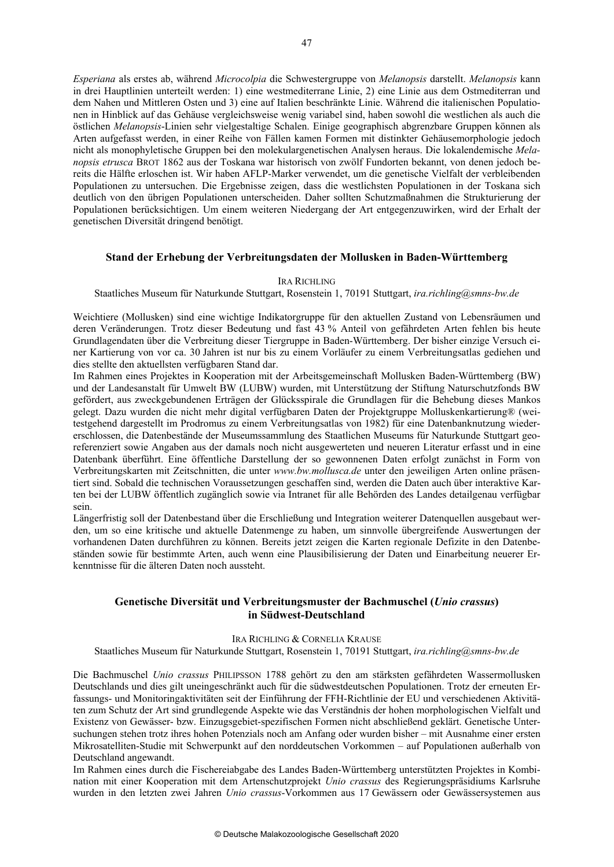*Esperiana* als erstes ab, während *Microcolpia* die Schwestergruppe von *Melanopsis* darstellt. *Melanopsis* kann in drei Hauptlinien unterteilt werden: 1) eine westmediterrane Linie, 2) eine Linie aus dem Ostmediterran und dem Nahen und Mittleren Osten und 3) eine auf Italien beschränkte Linie. Während die italienischen Populationen in Hinblick auf das Gehäuse vergleichsweise wenig variabel sind, haben sowohl die westlichen als auch die östlichen *Melanopsis*-Linien sehr vielgestaltige Schalen. Einige geographisch abgrenzbare Gruppen können als Arten aufgefasst werden, in einer Reihe von Fällen kamen Formen mit distinkter Gehäusemorphologie jedoch nicht als monophyletische Gruppen bei den molekulargenetischen Analysen heraus. Die lokalendemische *Melanopsis etrusca* BROT 1862 aus der Toskana war historisch von zwölf Fundorten bekannt, von denen jedoch bereits die Hälfte erloschen ist. Wir haben AFLP-Marker verwendet, um die genetische Vielfalt der verbleibenden Populationen zu untersuchen. Die Ergebnisse zeigen, dass die westlichsten Populationen in der Toskana sich deutlich von den übrigen Populationen unterscheiden. Daher sollten Schutzmaßnahmen die Strukturierung der Populationen berücksichtigen. Um einem weiteren Niedergang der Art entgegenzuwirken, wird der Erhalt der genetischen Diversität dringend benötigt.

## **Stand der Erhebung der Verbreitungsdaten der Mollusken in Baden-Württemberg**

#### IRA RICHLING

Staatliches Museum für Naturkunde Stuttgart, Rosenstein 1, 70191 Stuttgart, *ira.richling@smns-bw.de*

Weichtiere (Mollusken) sind eine wichtige Indikatorgruppe für den aktuellen Zustand von Lebensräumen und deren Veränderungen. Trotz dieser Bedeutung und fast 43 % Anteil von gefährdeten Arten fehlen bis heute Grundlagendaten über die Verbreitung dieser Tiergruppe in Baden-Württemberg. Der bisher einzige Versuch einer Kartierung von vor ca. 30 Jahren ist nur bis zu einem Vorläufer zu einem Verbreitungsatlas gediehen und dies stellte den aktuellsten verfügbaren Stand dar.

Im Rahmen eines Projektes in Kooperation mit der Arbeitsgemeinschaft Mollusken Baden-Württemberg (BW) und der Landesanstalt für Umwelt BW (LUBW) wurden, mit Unterstützung der Stiftung Naturschutzfonds BW gefördert, aus zweckgebundenen Erträgen der Glücksspirale die Grundlagen für die Behebung dieses Mankos gelegt. Dazu wurden die nicht mehr digital verfügbaren Daten der Projektgruppe Molluskenkartierung® (weitestgehend dargestellt im Prodromus zu einem Verbreitungsatlas von 1982) für eine Datenbanknutzung wiedererschlossen, die Datenbestände der Museumssammlung des Staatlichen Museums für Naturkunde Stuttgart georeferenziert sowie Angaben aus der damals noch nicht ausgewerteten und neueren Literatur erfasst und in eine Datenbank überführt. Eine öffentliche Darstellung der so gewonnenen Daten erfolgt zunächst in Form von Verbreitungskarten mit Zeitschnitten, die unter *www.bw.mollusca.de* unter den jeweiligen Arten online präsentiert sind. Sobald die technischen Voraussetzungen geschaffen sind, werden die Daten auch über interaktive Karten bei der LUBW öffentlich zugänglich sowie via Intranet für alle Behörden des Landes detailgenau verfügbar sein.

Längerfristig soll der Datenbestand über die Erschließung und Integration weiterer Datenquellen ausgebaut werden, um so eine kritische und aktuelle Datenmenge zu haben, um sinnvolle übergreifende Auswertungen der vorhandenen Daten durchführen zu können. Bereits jetzt zeigen die Karten regionale Defizite in den Datenbeständen sowie für bestimmte Arten, auch wenn eine Plausibilisierung der Daten und Einarbeitung neuerer Erkenntnisse für die älteren Daten noch aussteht.

## **Genetische Diversität und Verbreitungsmuster der Bachmuschel (***Unio crassus***) in Südwest-Deutschland**

## IRA RICHLING & CORNELIA KRAUSE

Staatliches Museum für Naturkunde Stuttgart, Rosenstein 1, 70191 Stuttgart, *ira.richling@smns-bw.de*

Die Bachmuschel *Unio crassus* PHILIPSSON 1788 gehört zu den am stärksten gefährdeten Wassermollusken Deutschlands und dies gilt uneingeschränkt auch für die südwestdeutschen Populationen. Trotz der erneuten Erfassungs- und Monitoringaktivitäten seit der Einführung der FFH-Richtlinie der EU und verschiedenen Aktivitäten zum Schutz der Art sind grundlegende Aspekte wie das Verständnis der hohen morphologischen Vielfalt und Existenz von Gewässer- bzw. Einzugsgebiet-spezifischen Formen nicht abschließend geklärt. Genetische Untersuchungen stehen trotz ihres hohen Potenzials noch am Anfang oder wurden bisher – mit Ausnahme einer ersten Mikrosatelliten-Studie mit Schwerpunkt auf den norddeutschen Vorkommen – auf Populationen außerhalb von Deutschland angewandt.

Im Rahmen eines durch die Fischereiabgabe des Landes Baden-Württemberg unterstützten Projektes in Kombination mit einer Kooperation mit dem Artenschutzprojekt *Unio crassus* des Regierungspräsidiums Karlsruhe wurden in den letzten zwei Jahren *Unio crassus*-Vorkommen aus 17 Gewässern oder Gewässersystemen aus